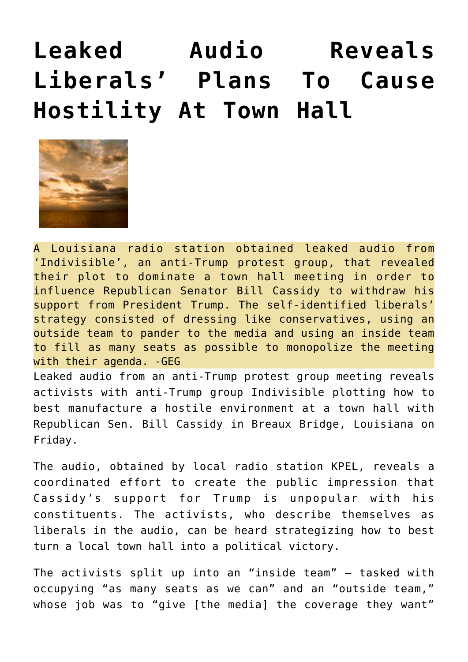## **[Leaked Audio Reveals](https://needtoknow.news/2017/02/348/) [Liberals' Plans To Cause](https://needtoknow.news/2017/02/348/) [Hostility At Town Hall](https://needtoknow.news/2017/02/348/)**



A Louisiana radio station obtained leaked audio from 'Indivisible', an anti-Trump protest group, that revealed their plot to dominate a town hall meeting in order to influence Republican Senator Bill Cassidy to withdraw his support from President Trump. The self-identified liberals' strategy consisted of dressing like conservatives, using an outside team to pander to the media and using an inside team to fill as many seats as possible to monopolize the meeting with their agenda. - GEG

Leaked audio from an anti-Trump protest group meeting reveals activists with anti-Trump group Indivisible plotting how to best manufacture a hostile environment at a town hall with Republican Sen. Bill Cassidy in Breaux Bridge, Louisiana on Friday.

The audio, obtained by local radio station [KPEL](http://kpel965.com/recording-purports-to-confirm-organized-protesters-ahead-of-cassidy-town-hall-in-breaux-bridge/), reveals a coordinated effort to create the public impression that Cassidy's support for Trump is unpopular with his constituents. The activists, who describe themselves as liberals in the audio, can be heard strategizing how to best turn a local town hall into a political victory.

The activists split up into an "inside team" — tasked with occupying "as many seats as we can" and an "outside team," whose job was to "give [the media] the coverage they want"